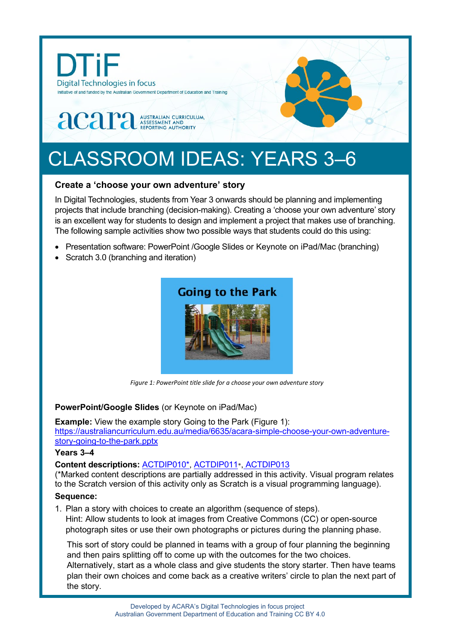

# CLASSROOM IDEAS: YEARS 3–6

## **Create a 'choose your own adventure' story**

In Digital Technologies, students from Year 3 onwards should be planning and implementing projects that include branching (decision-making). Creating a 'choose your own adventure' story is an excellent way for students to design and implement a project that makes use of branching. The following sample activities show two possible ways that students could do this using:

- Presentation software: PowerPoint /Google Slides or Keynote on iPad/Mac (branching)
- Scratch 3.0 (branching and iteration)



*Figure 1: PowerPoint title slide for a choose your own adventure story*

#### **PowerPoint/Google Slides** (or Keynote on iPad/Mac)

**Example:** View the example story Going to the Park (Figure 1): [https://australiancurriculum.edu.au/media/6635/acara-simple-choose-your-own-adventure](https://australiancurriculum.edu.au/media/6635/acara-simple-choose-your-own-adventure-story-going-to-the-park.pptx)[story-going-to-the-park.pptx](https://australiancurriculum.edu.au/media/6635/acara-simple-choose-your-own-adventure-story-going-to-the-park.pptx)

#### **Years 3–4**

#### **Content descriptions:** [ACTDIP010\\*](http://www.scootle.edu.au/ec/search?accContentId=ACTDIP010), [ACTDIP011](http://www.scootle.edu.au/ec/search?accContentId=ACTDIP011)\*, [ACTDIP013](http://www.scootle.edu.au/ec/search?accContentId=ACTDIP013)

(\*Marked content descriptions are partially addressed in this activity. Visual program relates to the Scratch version of this activity only as Scratch is a visual programming language).

#### **Sequence:**

1. Plan a story with choices to create an algorithm (sequence of steps). Hint: Allow students to look at images from Creative Commons (CC) or open-source photograph sites or use their own photographs or pictures during the planning phase.

This sort of story could be planned in teams with a group of four planning the beginning and then pairs splitting off to come up with the outcomes for the two choices. Alternatively, start as a whole class and give students the story starter. Then have teams plan their own choices and come back as a creative writers' circle to plan the next part of the story.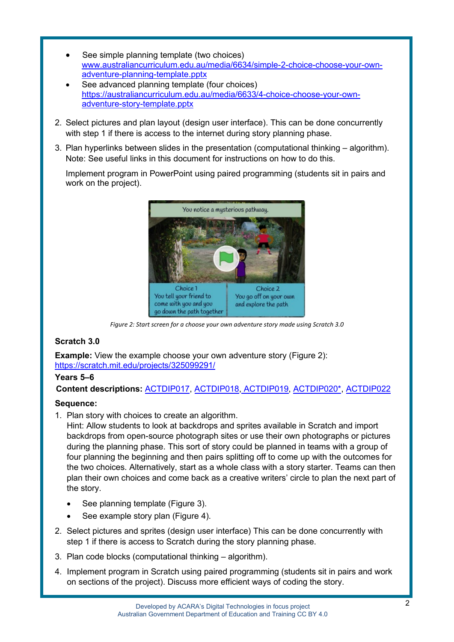- See simple planning template (two choices) [www.australiancurriculum.edu.au/media/6634/simple-2-choice-choose-your-own](https://australiancurriculum.edu.au/media/6634/simple-2-choice-choose-your-own-adventure-planning-template.pptx)[adventure-planning-template.pptx](https://australiancurriculum.edu.au/media/6634/simple-2-choice-choose-your-own-adventure-planning-template.pptx)
- See advanced planning template (four choices) [https://australiancurriculum.edu.au/media/6633/4-choice-choose-your-own](https://australiancurriculum.edu.au/media/6633/4-choice-choose-your-own-adventure-story-template.pptx)[adventure-story-template.pptx](https://australiancurriculum.edu.au/media/6633/4-choice-choose-your-own-adventure-story-template.pptx)
- 2. Select pictures and plan layout (design user interface). This can be done concurrently with step 1 if there is access to the internet during story planning phase.
- 3. Plan hyperlinks between slides in the presentation (computational thinking algorithm). Note: See useful links in this document for instructions on how to do this.

Implement program in PowerPoint using paired programming (students sit in pairs and work on the project).



*Figure 2: Start screen for a choose your own adventure story made using Scratch 3.0*

### **Scratch 3.0**

**Example:** View the example choose your own adventure story (Figure 2): <https://scratch.mit.edu/projects/325099291/>

#### **Years 5–6**

**Content descriptions:** [ACTDIP017,](http://www.scootle.edu.au/ec/search?accContentId=ACTDIP017) [ACTDIP018,](http://www.scootle.edu.au/ec/search?accContentId=ACTDIP018) [ACTDIP019,](http://www.scootle.edu.au/ec/search?accContentId=ACTDIP019) [ACTDIP020\\*](http://www.scootle.edu.au/ec/search?accContentId=ACTDIP020), [ACTDIP022](http://www.scootle.edu.au/ec/search?accContentId=ACTDIP022)

#### **Sequence:**

1. Plan story with choices to create an algorithm.

Hint: Allow students to look at backdrops and sprites available in Scratch and import backdrops from open-source photograph sites or use their own photographs or pictures during the planning phase. This sort of story could be planned in teams with a group of four planning the beginning and then pairs splitting off to come up with the outcomes for the two choices. Alternatively, start as a whole class with a story starter. Teams can then plan their own choices and come back as a creative writers' circle to plan the next part of the story.

- See planning template (Figure 3).
- See example story plan (Figure 4).
- 2. Select pictures and sprites (design user interface) This can be done concurrently with step 1 if there is access to Scratch during the story planning phase.
- 3. Plan code blocks (computational thinking algorithm).
- 4. Implement program in Scratch using paired programming (students sit in pairs and work on sections of the project). Discuss more efficient ways of coding the story.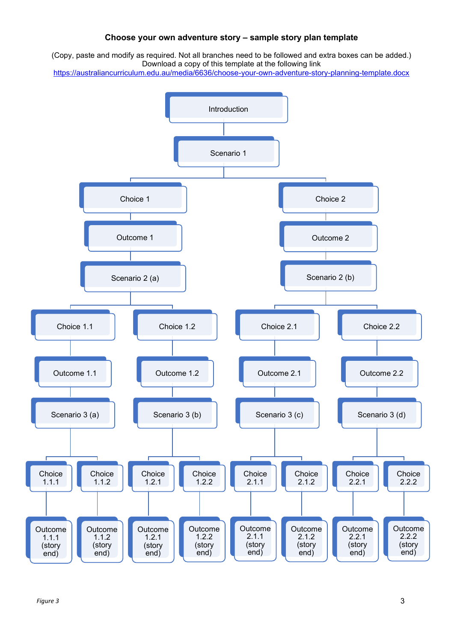#### **Choose your own adventure story – sample story plan template**

(Copy, paste and modify as required. Not all branches need to be followed and extra boxes can be added.) Download a copy of this template at the following link

<https://australiancurriculum.edu.au/media/6636/choose-your-own-adventure-story-planning-template.docx>

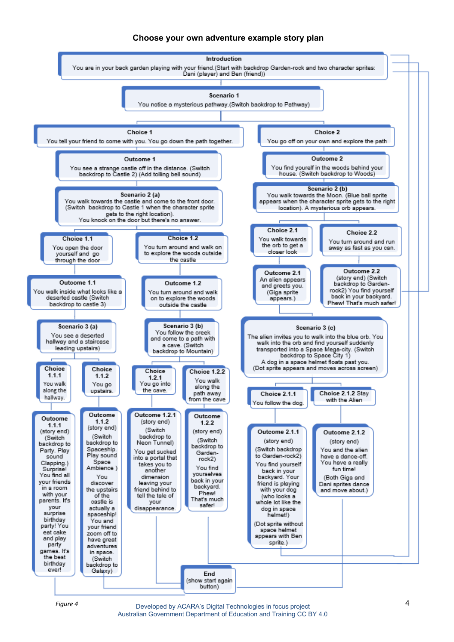#### **Choose your own adventure example story plan**



*Figure 4*

Developed by ACARA's Digital Technologies in focus project Australian Government Department of Education and Training CC BY 4.0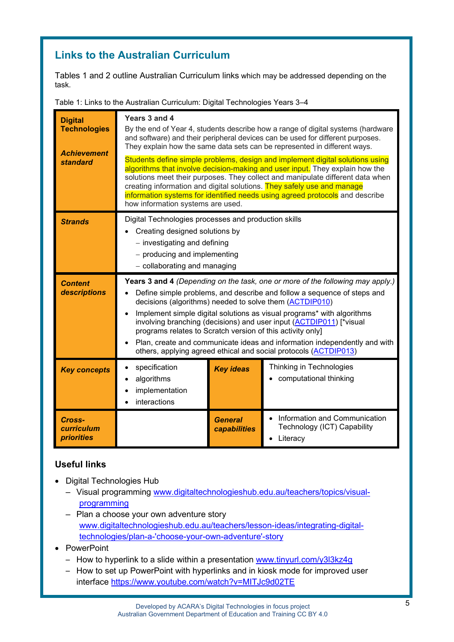# **Links to the Australian Curriculum**

Tables 1 and 2 outline Australian Curriculum links which may be addressed depending on the task.

Table 1: Links to the Australian Curriculum: Digital Technologies Years 3–4

| <b>Digital</b><br><b>Technologies</b><br><b>Achievement</b><br><b>standard</b> | Years 3 and 4<br>By the end of Year 4, students describe how a range of digital systems (hardware<br>and software) and their peripheral devices can be used for different purposes.<br>They explain how the same data sets can be represented in different ways.<br>Students define simple problems, design and implement digital solutions using<br>algorithms that involve decision-making and user input. They explain how the<br>solutions meet their purposes. They collect and manipulate different data when<br>creating information and digital solutions. They safely use and manage<br>information systems for identified needs using agreed protocols and describe<br>how information systems are used. |                                |                                                                          |  |
|--------------------------------------------------------------------------------|--------------------------------------------------------------------------------------------------------------------------------------------------------------------------------------------------------------------------------------------------------------------------------------------------------------------------------------------------------------------------------------------------------------------------------------------------------------------------------------------------------------------------------------------------------------------------------------------------------------------------------------------------------------------------------------------------------------------|--------------------------------|--------------------------------------------------------------------------|--|
| <b>Strands</b>                                                                 | Digital Technologies processes and production skills<br>Creating designed solutions by<br>- investigating and defining<br>- producing and implementing<br>- collaborating and managing                                                                                                                                                                                                                                                                                                                                                                                                                                                                                                                             |                                |                                                                          |  |
| <b>Content</b><br>descriptions                                                 | Years 3 and 4 (Depending on the task, one or more of the following may apply.)<br>Define simple problems, and describe and follow a sequence of steps and<br>decisions (algorithms) needed to solve them (ACTDIP010)<br>Implement simple digital solutions as visual programs* with algorithms<br>involving branching (decisions) and user input (ACTDIP011) [*visual<br>programs relates to Scratch version of this activity only]<br>Plan, create and communicate ideas and information independently and with<br>others, applying agreed ethical and social protocols (ACTDIP013)                                                                                                                               |                                |                                                                          |  |
| <b>Key concepts</b>                                                            | specification<br>algorithms<br>implementation<br>interactions                                                                                                                                                                                                                                                                                                                                                                                                                                                                                                                                                                                                                                                      | <b>Key ideas</b>               | Thinking in Technologies<br>computational thinking                       |  |
| Cross-<br>curriculum<br><b>priorities</b>                                      |                                                                                                                                                                                                                                                                                                                                                                                                                                                                                                                                                                                                                                                                                                                    | <b>General</b><br>capabilities | Information and Communication<br>Technology (ICT) Capability<br>Literacy |  |

# **Useful links**

- Digital Technologies Hub
	- Visual programming [www.digitaltechnologieshub.edu.au/teachers/topics/visual](http://www.digitaltechnologieshub.edu.au/teachers/topics/visual-programming)[programming](http://www.digitaltechnologieshub.edu.au/teachers/topics/visual-programming)
	- Plan a choose your own adventure story [www.digitaltechnologieshub.edu.au/teachers/lesson-ideas/integrating-digital](http://www.digitaltechnologieshub.edu.au/teachers/lesson-ideas/integrating-digital-technologies/plan-a-)[technologies/plan-a-'choose-your-own-adventure'-story](http://www.digitaltechnologieshub.edu.au/teachers/lesson-ideas/integrating-digital-technologies/plan-a-)
- PowerPoint
	- How to hyperlink to a slide within a presentation [www.tinyurl.com/y3l3kz4g](http://www.tinyurl.com/y3l3kz4g)
	- How to set up PowerPoint with hyperlinks and in kiosk mode for improved user interface<https://www.youtube.com/watch?v=MITJc9d02TE>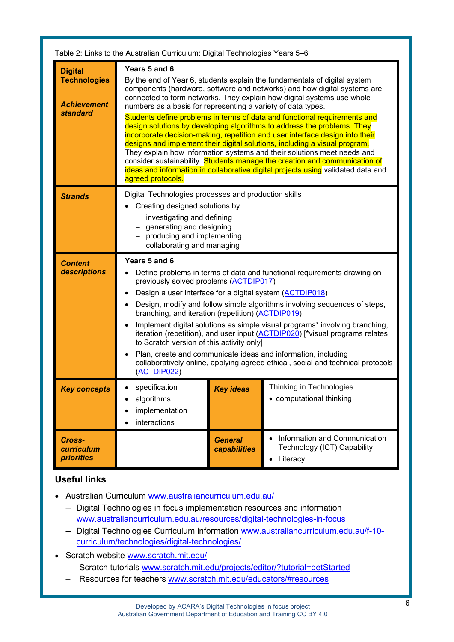| Table 2: Links to the Australian Curriculum: Digital Technologies Years 5-6    |                                                                                                                                                                                                                                                                                                                                                                                                                                                                                                                                                                                                                                                                                                                                                                                                                                                                                                          |                                |                                                                                       |  |  |
|--------------------------------------------------------------------------------|----------------------------------------------------------------------------------------------------------------------------------------------------------------------------------------------------------------------------------------------------------------------------------------------------------------------------------------------------------------------------------------------------------------------------------------------------------------------------------------------------------------------------------------------------------------------------------------------------------------------------------------------------------------------------------------------------------------------------------------------------------------------------------------------------------------------------------------------------------------------------------------------------------|--------------------------------|---------------------------------------------------------------------------------------|--|--|
| <b>Digital</b><br><b>Technologies</b><br><b>Achievement</b><br><b>standard</b> | Years 5 and 6<br>By the end of Year 6, students explain the fundamentals of digital system<br>components (hardware, software and networks) and how digital systems are<br>connected to form networks. They explain how digital systems use whole<br>numbers as a basis for representing a variety of data types.<br>Students define problems in terms of data and functional requirements and<br>design solutions by developing algorithms to address the problems. They<br>incorporate decision-making, repetition and user interface design into their<br>designs and implement their digital solutions, including a visual program.<br>They explain how information systems and their solutions meet needs and<br>consider sustainability. Students manage the creation and communication of<br>ideas and information in collaborative digital projects using validated data and<br>agreed protocols. |                                |                                                                                       |  |  |
| <b>Strands</b>                                                                 | Digital Technologies processes and production skills<br>Creating designed solutions by<br>- investigating and defining<br>generating and designing<br>- producing and implementing<br>collaborating and managing                                                                                                                                                                                                                                                                                                                                                                                                                                                                                                                                                                                                                                                                                         |                                |                                                                                       |  |  |
| <b>Content</b><br>descriptions                                                 | Years 5 and 6<br>Define problems in terms of data and functional requirements drawing on<br>previously solved problems (ACTDIP017)<br>Design a user interface for a digital system (ACTDIP018)<br>Design, modify and follow simple algorithms involving sequences of steps,<br>branching, and iteration (repetition) (ACTDIP019)<br>Implement digital solutions as simple visual programs* involving branching,<br>iteration (repetition), and user input (ACTDIP020) [*visual programs relates<br>to Scratch version of this activity only]<br>Plan, create and communicate ideas and information, including<br>collaboratively online, applying agreed ethical, social and technical protocols<br>(ACTDIP022)                                                                                                                                                                                          |                                |                                                                                       |  |  |
| <b>Key concepts</b>                                                            | specification<br>algorithms<br>implementation<br>interactions                                                                                                                                                                                                                                                                                                                                                                                                                                                                                                                                                                                                                                                                                                                                                                                                                                            | <b>Key ideas</b>               | Thinking in Technologies<br>• computational thinking                                  |  |  |
| Cross-<br><b>curriculum</b><br><b>priorities</b>                               |                                                                                                                                                                                                                                                                                                                                                                                                                                                                                                                                                                                                                                                                                                                                                                                                                                                                                                          | <b>General</b><br>capabilities | Information and Communication<br>Technology (ICT) Capability<br>Literacy<br>$\bullet$ |  |  |

# **Useful links**

- Australian Curriculum [www.australiancurriculum.edu.au/](https://www.australiancurriculum.edu.au/)
	- Digital Technologies in focus implementation resources and information [www.australiancurriculum.edu.au/resources/digital-technologies-in-focus](http://www.australiancurriculum.edu.au/resources/digital-technologies-in-focus)
	- Digital Technologies Curriculum information [www.australiancurriculum.edu.au/f-10](http://www.australiancurriculum.edu.au/f-10-curriculum/technologies/digital-technologies/) [curriculum/technologies/digital-technologies/](http://www.australiancurriculum.edu.au/f-10-curriculum/technologies/digital-technologies/)
- Scratch website [www.scratch.mit.edu/](http://www.scratch.mit.edu/)
	- Scratch tutorials [www.scratch.mit.edu/projects/editor/?tutorial=getStarted](https://scratch.mit.edu/projects/editor/?tutorial=getStarted)
	- Resources for teachers [www.scratch.mit.edu/educators/#resources](https://scratch.mit.edu/educators/#resources)